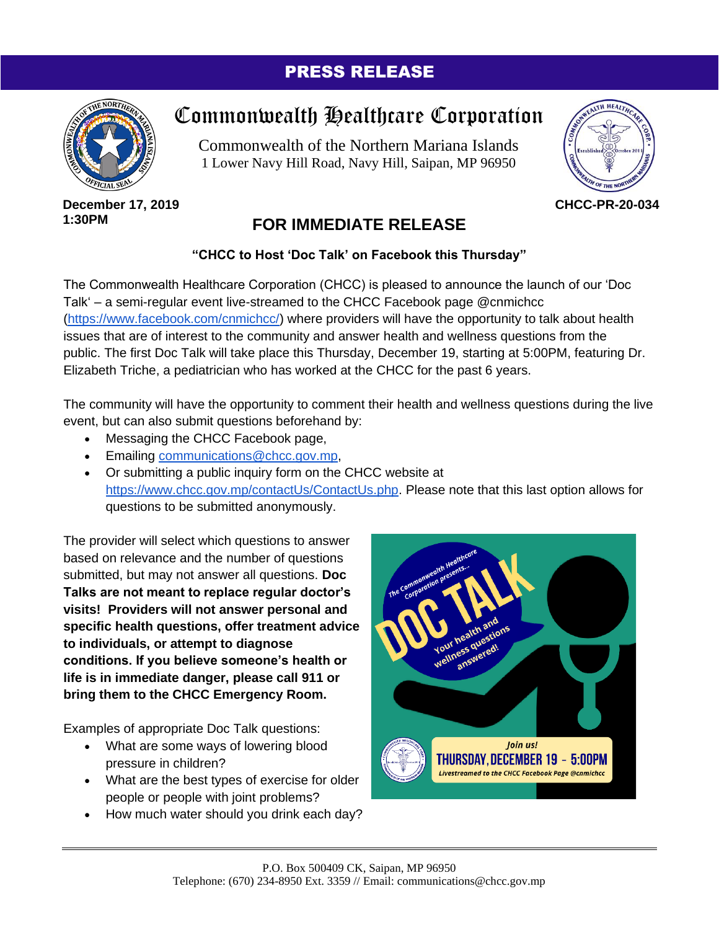### PRESS RELEASE



#### **December 17, 2019 1:30PM**

# Commonwealth Healthcare Corporation

Commonwealth of the Northern Mariana Islands 1 Lower Navy Hill Road, Navy Hill, Saipan, MP 96950



**CHCC-PR-20-034**

## **FOR IMMEDIATE RELEASE**

### **"CHCC to Host 'Doc Talk' on Facebook this Thursday"**

The Commonwealth Healthcare Corporation (CHCC) is pleased to announce the launch of our 'Doc Talk' – a semi-regular event live-streamed to the CHCC Facebook page @cnmichcc [\(https://www.facebook.com/cnmichcc/\)](https://www.facebook.com/cnmichcc/) where providers will have the opportunity to talk about health issues that are of interest to the community and answer health and wellness questions from the public. The first Doc Talk will take place this Thursday, December 19, starting at 5:00PM, featuring Dr. Elizabeth Triche, a pediatrician who has worked at the CHCC for the past 6 years.

The community will have the opportunity to comment their health and wellness questions during the live event, but can also submit questions beforehand by:

- Messaging the CHCC Facebook page,
- Emailing [communications@chcc.gov.mp,](mailto:communications@chcc.gov.mp)
- Or submitting a public inquiry form on the CHCC website at [https://www.chcc.gov.mp/contactUs/ContactUs.php.](https://www.chcc.gov.mp/contactUs/ContactUs.php) Please note that this last option allows for questions to be submitted anonymously.

The provider will select which questions to answer based on relevance and the number of questions submitted, but may not answer all questions. **Doc Talks are not meant to replace regular doctor's visits! Providers will not answer personal and specific health questions, offer treatment advice to individuals, or attempt to diagnose conditions. If you believe someone's health or life is in immediate danger, please call 911 or bring them to the CHCC Emergency Room.**

Examples of appropriate Doc Talk questions:

- What are some ways of lowering blood pressure in children?
- What are the best types of exercise for older people or people with joint problems?
- How much water should you drink each day?